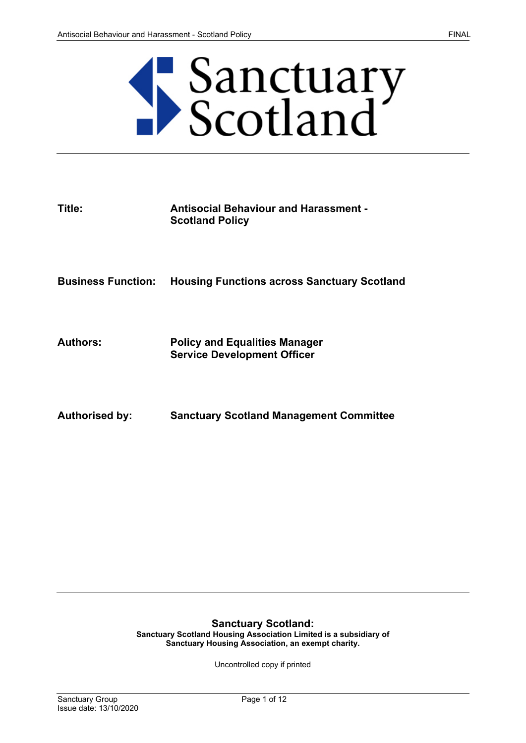# Sanctuary<br>Scotland

| Title:                    | <b>Antisocial Behaviour and Harassment -</b><br><b>Scotland Policy</b>     |
|---------------------------|----------------------------------------------------------------------------|
| <b>Business Function:</b> | <b>Housing Functions across Sanctuary Scotland</b>                         |
| <b>Authors:</b>           | <b>Policy and Equalities Manager</b><br><b>Service Development Officer</b> |
| <b>Authorised by:</b>     | <b>Sanctuary Scotland Management Committee</b>                             |

# **Sanctuary Scotland:**

**Sanctuary Scotland Housing Association Limited is a subsidiary of Sanctuary Housing Association, an exempt charity.** 

Uncontrolled copy if printed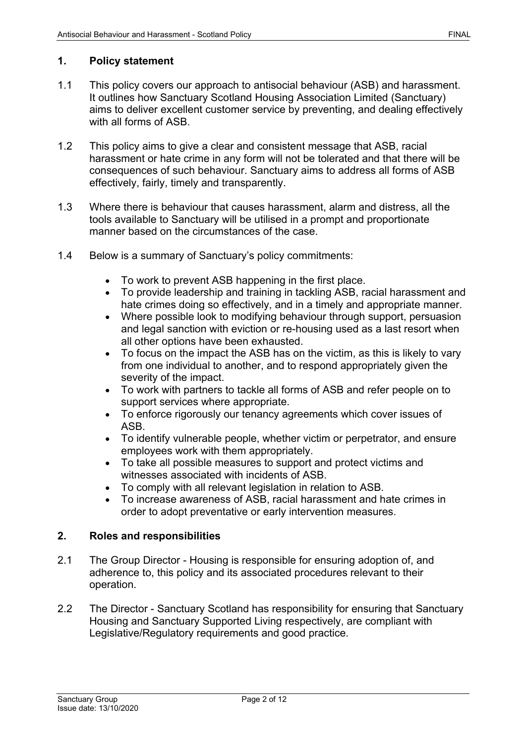# **1. Policy statement**

- 1.1 This policy covers our approach to antisocial behaviour (ASB) and harassment. It outlines how Sanctuary Scotland Housing Association Limited (Sanctuary) aims to deliver excellent customer service by preventing, and dealing effectively with all forms of ASB.
- 1.2 This policy aims to give a clear and consistent message that ASB, racial harassment or hate crime in any form will not be tolerated and that there will be consequences of such behaviour. Sanctuary aims to address all forms of ASB effectively, fairly, timely and transparently.
- 1.3 Where there is behaviour that causes harassment, alarm and distress, all the tools available to Sanctuary will be utilised in a prompt and proportionate manner based on the circumstances of the case.
- 1.4 Below is a summary of Sanctuary's policy commitments:
	- To work to prevent ASB happening in the first place.
	- To provide leadership and training in tackling ASB, racial harassment and hate crimes doing so effectively, and in a timely and appropriate manner.
	- Where possible look to modifying behaviour through support, persuasion and legal sanction with eviction or re-housing used as a last resort when all other options have been exhausted.
	- To focus on the impact the ASB has on the victim, as this is likely to vary from one individual to another, and to respond appropriately given the severity of the impact.
	- To work with partners to tackle all forms of ASB and refer people on to support services where appropriate.
	- To enforce rigorously our tenancy agreements which cover issues of ASB.
	- To identify vulnerable people, whether victim or perpetrator, and ensure employees work with them appropriately.
	- To take all possible measures to support and protect victims and witnesses associated with incidents of ASB.
	- To comply with all relevant legislation in relation to ASB.
	- To increase awareness of ASB, racial harassment and hate crimes in order to adopt preventative or early intervention measures.

# **2. Roles and responsibilities**

- 2.1 The Group Director Housing is responsible for ensuring adoption of, and adherence to, this policy and its associated procedures relevant to their operation.
- 2.2 The Director Sanctuary Scotland has responsibility for ensuring that Sanctuary Housing and Sanctuary Supported Living respectively, are compliant with Legislative/Regulatory requirements and good practice.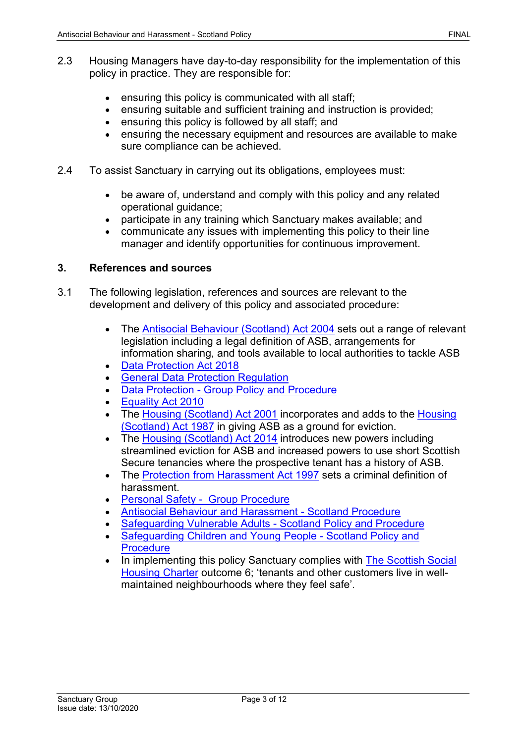- 2.3 Housing Managers have day-to-day responsibility for the implementation of this policy in practice. They are responsible for:
	- ensuring this policy is communicated with all staff;
	- ensuring suitable and sufficient training and instruction is provided;
	- ensuring this policy is followed by all staff; and
	- ensuring the necessary equipment and resources are available to make sure compliance can be achieved.
- 2.4 To assist Sanctuary in carrying out its obligations, employees must:
	- be aware of, understand and comply with this policy and any related operational guidance;
	- participate in any training which Sanctuary makes available; and
	- communicate any issues with implementing this policy to their line manager and identify opportunities for continuous improvement.

# **3. References and sources**

- 3.1 The following legislation, references and sources are relevant to the development and delivery of this policy and associated procedure:
	- The [Antisocial Behaviour \(Scotland\) Act 2004](http://www.legislation.gov.uk/asp/2004/8/contents) sets out a range of relevant legislation including a legal definition of ASB, arrangements for information sharing, and tools available to local authorities to tackle ASB
	- [Data Protection Act 2018](http://www.legislation.gov.uk/ukpga/2018/12/contents/enacted)
	- [General Data Protection Regulation](https://ec.europa.eu/info/law/law-topic/data-protection_en)
	- Data Protection [Group Policy and Procedure](https://solis/PolicyManagement/policy/Policies/Forms/Policy%20Document%20Set/docsethomepage.aspx?ID=4012&FolderCTID=0x0120D52000DE99EA054D4DF944BE591D81E49729D0008C670BDB86BED740B0B89E295CD8357C&List=a03723e1-d48b-4958-9669-9b86a90ef8b0&RootFolder=%2FPolicyManagement%2Fpolicy%2FPolicies%2FData%20Protection%20%2D%20Group&RecSrc=%2FPolicyManagement%2Fpolicy%2FPolicies%2FData%20Protection%20%2D%20Group)
	- [Equality Act 2010](https://www.legislation.gov.uk/ukpga/2010/15/contents)
	- The [Housing \(Scotland\) Act 2001](https://www.legislation.gov.uk/asp/2001/10/contents) incorporates and adds to the Housing [\(Scotland\) Act 1987](https://www.legislation.gov.uk/ukpga/1987/26/contents) in giving ASB as a ground for eviction.
	- The [Housing \(Scotland\) Act 2014](http://www.legislation.gov.uk/asp/2014/14/contents/enacted) introduces new powers including streamlined eviction for ASB and increased powers to use short Scottish Secure tenancies where the prospective tenant has a history of ASB.
	- The [Protection from Harassment Act 1997](https://www.legislation.gov.uk/ukpga/1997/40/contents) sets a criminal definition of harassment.
	- [Personal Safety Group Procedure](https://solis/PolicyManagement/policy/Policies/Forms/Policy%20Document%20Set/docsethomepage.aspx?ID=4861&FolderCTID=0x0120D52000DE99EA054D4DF944BE591D81E49729D0008C670BDB86BED740B0B89E295CD8357C&List=a03723e1-d48b-4958-9669-9b86a90ef8b0&RootFolder=%2FPolicyManagement%2Fpolicy%2FPolicies%2FPersonal%20Safety%20%2D%20Group&RecSrc=%2FPolicyManagement%2Fpolicy%2FPolicies%2FPersonal%20Safety%20%2D%20Group)
	- [Antisocial Behaviour and Harassment -](https://solis/PolicyManagement/policy/Policies/Forms/Policy%20Document%20Set/docsethomepage.aspx?ID=4360&FolderCTID=0x0120D52000DE99EA054D4DF944BE591D81E49729D0008C670BDB86BED740B0B89E295CD8357C&List=a03723e1-d48b-4958-9669-9b86a90ef8b0&RootFolder=%2FPolicyManagement%2Fpolicy%2FPolicies%2FAntisocial%20Behaviour%20and%20Harassment%20%2D%20Scotland&RecSrc=%2FPolicyManagement%2Fpolicy%2FPolicies%2FAntisocial%20Behaviour%20and%20Harassment%20%2D%20Scotland) Scotland Procedure
	- [Safeguarding Vulnerable Adults -](https://solis/PolicyManagement/policy/Policies/Forms/Policy%20Document%20Set/docsethomepage.aspx?ID=3835&FolderCTID=0x0120D52000DE99EA054D4DF944BE591D81E49729D0008C670BDB86BED740B0B89E295CD8357C&List=a03723e1-d48b-4958-9669-9b86a90ef8b0&RootFolder=%2FPolicyManagement%2Fpolicy%2FPolicies%2FSafeguarding%20Vulnerable%20Adults%20%2D%20Scotland&RecSrc=%2FPolicyManagement%2Fpolicy%2FPolicies%2FSafeguarding%20Vulnerable%20Adults%20%2D%20Scotland) Scotland Policy and Procedure
	- [Safeguarding Children and Young People -](https://solis/PolicyManagement/policy/Policies/Forms/Policy%20Document%20Set/docsethomepage.aspx?ID=3874&FolderCTID=0x0120D52000DE99EA054D4DF944BE591D81E49729D0008C670BDB86BED740B0B89E295CD8357C&List=a03723e1-d48b-4958-9669-9b86a90ef8b0&RootFolder=%2FPolicyManagement%2Fpolicy%2FPolicies%2FSafeguarding%20Children%20and%20Young%20People%20%2D%20Scotland&RecSrc=%2FPolicyManagement%2Fpolicy%2FPolicies%2FSafeguarding%20Children%20and%20Young%20People%20%2D%20Scotland) Scotland Policy and **[Procedure](https://solis/PolicyManagement/policy/Policies/Forms/Policy%20Document%20Set/docsethomepage.aspx?ID=3874&FolderCTID=0x0120D52000DE99EA054D4DF944BE591D81E49729D0008C670BDB86BED740B0B89E295CD8357C&List=a03723e1-d48b-4958-9669-9b86a90ef8b0&RootFolder=%2FPolicyManagement%2Fpolicy%2FPolicies%2FSafeguarding%20Children%20and%20Young%20People%20%2D%20Scotland&RecSrc=%2FPolicyManagement%2Fpolicy%2FPolicies%2FSafeguarding%20Children%20and%20Young%20People%20%2D%20Scotland)**
	- In implementing this policy Sanctuary complies with The Scottish Social [Housing Charter](https://www.scottishhousingregulator.gov.uk/) outcome 6; 'tenants and other customers live in wellmaintained neighbourhoods where they feel safe'.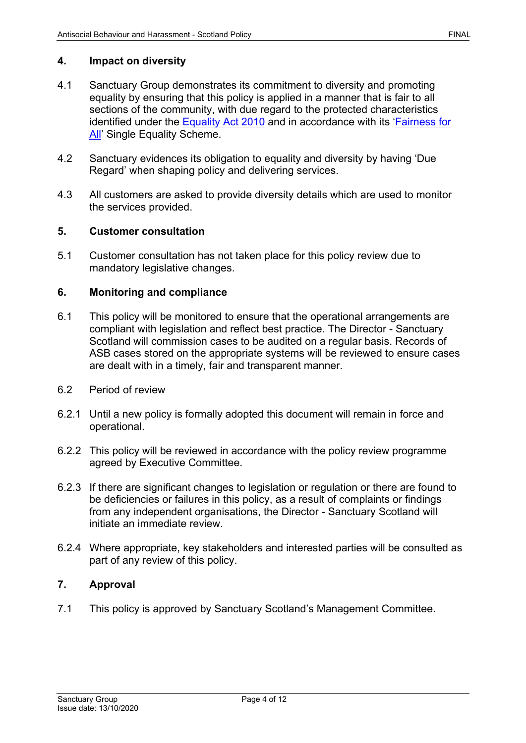# **4. Impact on diversity**

- 4.1 Sanctuary Group demonstrates its commitment to diversity and promoting equality by ensuring that this policy is applied in a manner that is fair to all sections of the community, with due regard to the protected characteristics identified under the [Equality Act 2010](https://www.legislation.gov.uk/ukpga/2010/15/contents) and in accordance with its ['Fairness for](https://solis/Diversity/Pages/Fairnessforall.aspx)  [All'](https://solis/Diversity/Pages/Fairnessforall.aspx) Single Equality Scheme.
- 4.2 Sanctuary evidences its obligation to equality and diversity by having 'Due Regard' when shaping policy and delivering services.
- 4.3 All customers are asked to provide diversity details which are used to monitor the services provided.

# **5. Customer consultation**

5.1 Customer consultation has not taken place for this policy review due to mandatory legislative changes.

#### **6. Monitoring and compliance**

- 6.1 This policy will be monitored to ensure that the operational arrangements are compliant with legislation and reflect best practice. The Director - Sanctuary Scotland will commission cases to be audited on a regular basis. Records of ASB cases stored on the appropriate systems will be reviewed to ensure cases are dealt with in a timely, fair and transparent manner.
- 6.2 Period of review
- 6.2.1 Until a new policy is formally adopted this document will remain in force and operational.
- 6.2.2 This policy will be reviewed in accordance with the policy review programme agreed by Executive Committee.
- 6.2.3 If there are significant changes to legislation or regulation or there are found to be deficiencies or failures in this policy, as a result of complaints or findings from any independent organisations, the Director - Sanctuary Scotland will initiate an immediate review.
- 6.2.4 Where appropriate, key stakeholders and interested parties will be consulted as part of any review of this policy.

# **7. Approval**

7.1 This policy is approved by Sanctuary Scotland's Management Committee.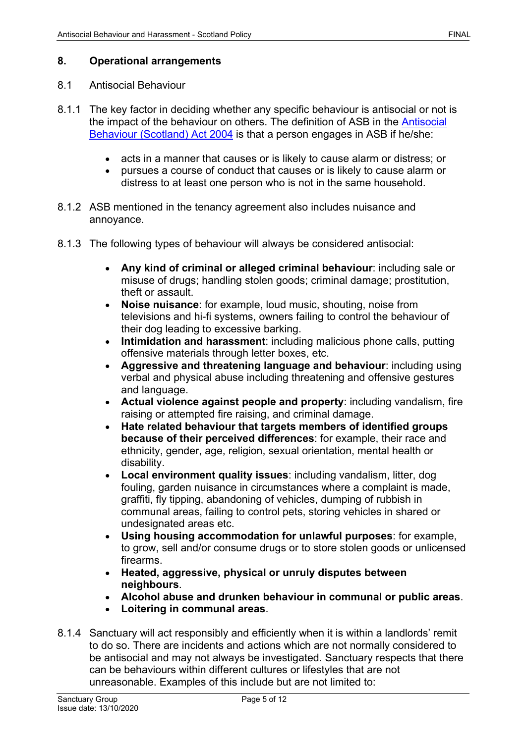## 8.1 Antisocial Behaviour

- 8.1.1 The key factor in deciding whether any specific behaviour is antisocial or not is the impact of the behaviour on others. The definition of ASB in the [Antisocial](http://www.legislation.gov.uk/asp/2004/8/contents)  [Behaviour \(Scotland\) Act 2004](http://www.legislation.gov.uk/asp/2004/8/contents) is that a person engages in ASB if he/she:
	- acts in a manner that causes or is likely to cause alarm or distress; or
	- pursues a course of conduct that causes or is likely to cause alarm or distress to at least one person who is not in the same household.
- 8.1.2 ASB mentioned in the tenancy agreement also includes nuisance and annoyance.
- 8.1.3 The following types of behaviour will always be considered antisocial:
	- **Any kind of criminal or alleged criminal behaviour**: including sale or misuse of drugs; handling stolen goods; criminal damage; prostitution, theft or assault.
	- **Noise nuisance**: for example, loud music, shouting, noise from televisions and hi-fi systems, owners failing to control the behaviour of their dog leading to excessive barking.
	- **Intimidation and harassment**: including malicious phone calls, putting offensive materials through letter boxes, etc.
	- **Aggressive and threatening language and behaviour**: including using verbal and physical abuse including threatening and offensive gestures and language.
	- **Actual violence against people and property**: including vandalism, fire raising or attempted fire raising, and criminal damage.
	- **Hate related behaviour that targets members of identified groups because of their perceived differences**: for example, their race and ethnicity, gender, age, religion, sexual orientation, mental health or disability.
	- **Local environment quality issues**: including vandalism, litter, dog fouling, garden nuisance in circumstances where a complaint is made, graffiti, fly tipping, abandoning of vehicles, dumping of rubbish in communal areas, failing to control pets, storing vehicles in shared or undesignated areas etc.
	- **Using housing accommodation for unlawful purposes**: for example, to grow, sell and/or consume drugs or to store stolen goods or unlicensed firearms.
	- **Heated, aggressive, physical or unruly disputes between neighbours**.
	- **Alcohol abuse and drunken behaviour in communal or public areas**.
	- **Loitering in communal areas**.
- 8.1.4 Sanctuary will act responsibly and efficiently when it is within a landlords' remit to do so. There are incidents and actions which are not normally considered to be antisocial and may not always be investigated. Sanctuary respects that there can be behaviours within different cultures or lifestyles that are not unreasonable. Examples of this include but are not limited to: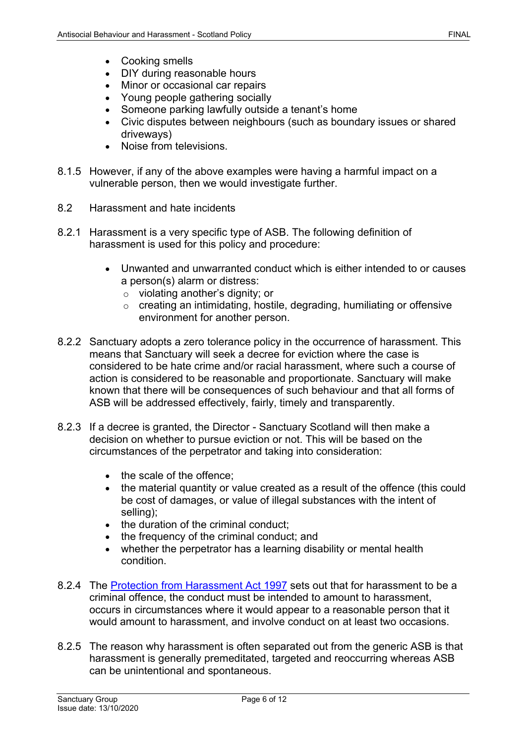- Cooking smells
- DIY during reasonable hours
- Minor or occasional car repairs
- Young people gathering socially
- Someone parking lawfully outside a tenant's home
- Civic disputes between neighbours (such as boundary issues or shared driveways)
- Noise from televisions.
- 8.1.5 However, if any of the above examples were having a harmful impact on a vulnerable person, then we would investigate further.
- 8.2 Harassment and hate incidents
- 8.2.1 Harassment is a very specific type of ASB. The following definition of harassment is used for this policy and procedure:
	- Unwanted and unwarranted conduct which is either intended to or causes a person(s) alarm or distress:
		- o violating another's dignity; or
		- o creating an intimidating, hostile, degrading, humiliating or offensive environment for another person.
- 8.2.2 Sanctuary adopts a zero tolerance policy in the occurrence of harassment. This means that Sanctuary will seek a decree for eviction where the case is considered to be hate crime and/or racial harassment, where such a course of action is considered to be reasonable and proportionate. Sanctuary will make known that there will be consequences of such behaviour and that all forms of ASB will be addressed effectively, fairly, timely and transparently.
- 8.2.3 If a decree is granted, the Director Sanctuary Scotland will then make a decision on whether to pursue eviction or not. This will be based on the circumstances of the perpetrator and taking into consideration:
	- the scale of the offence:
	- the material quantity or value created as a result of the offence (this could be cost of damages, or value of illegal substances with the intent of selling);
	- the duration of the criminal conduct;
	- the frequency of the criminal conduct; and
	- whether the perpetrator has a learning disability or mental health condition.
- 8.2.4 The [Protection from Harassment Act 1997](https://www.legislation.gov.uk/ukpga/1997/40/contents) sets out that for harassment to be a criminal offence, the conduct must be intended to amount to harassment, occurs in circumstances where it would appear to a reasonable person that it would amount to harassment, and involve conduct on at least two occasions.
- 8.2.5 The reason why harassment is often separated out from the generic ASB is that harassment is generally premeditated, targeted and reoccurring whereas ASB can be unintentional and spontaneous.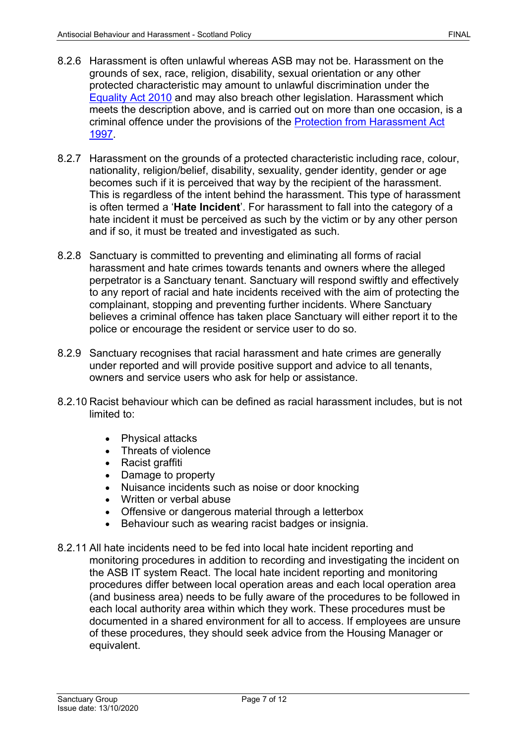- 8.2.6 Harassment is often unlawful whereas ASB may not be. Harassment on the grounds of sex, race, religion, disability, sexual orientation or any other protected characteristic may amount to unlawful discrimination under the [Equality Act 2010](https://www.legislation.gov.uk/ukpga/2010/15/contents) and may also breach other legislation. Harassment which meets the description above, and is carried out on more than one occasion, is a criminal offence under the provisions of the [Protection from Harassment Act](https://www.legislation.gov.uk/ukpga/1997/40/contents)  [1997.](https://www.legislation.gov.uk/ukpga/1997/40/contents)
- 8.2.7 Harassment on the grounds of a protected characteristic including race, colour, nationality, religion/belief, disability, sexuality, gender identity, gender or age becomes such if it is perceived that way by the recipient of the harassment. This is regardless of the intent behind the harassment. This type of harassment is often termed a '**Hate Incident**'. For harassment to fall into the category of a hate incident it must be perceived as such by the victim or by any other person and if so, it must be treated and investigated as such.
- 8.2.8 Sanctuary is committed to preventing and eliminating all forms of racial harassment and hate crimes towards tenants and owners where the alleged perpetrator is a Sanctuary tenant. Sanctuary will respond swiftly and effectively to any report of racial and hate incidents received with the aim of protecting the complainant, stopping and preventing further incidents. Where Sanctuary believes a criminal offence has taken place Sanctuary will either report it to the police or encourage the resident or service user to do so.
- 8.2.9 Sanctuary recognises that racial harassment and hate crimes are generally under reported and will provide positive support and advice to all tenants, owners and service users who ask for help or assistance.
- 8.2.10 Racist behaviour which can be defined as racial harassment includes, but is not limited to:
	- Physical attacks
	- Threats of violence
	- Racist graffiti
	- Damage to property
	- Nuisance incidents such as noise or door knocking
	- Written or verbal abuse
	- Offensive or dangerous material through a letterbox
	- Behaviour such as wearing racist badges or insignia.
- 8.2.11 All hate incidents need to be fed into local hate incident reporting and monitoring procedures in addition to recording and investigating the incident on the ASB IT system React. The local hate incident reporting and monitoring procedures differ between local operation areas and each local operation area (and business area) needs to be fully aware of the procedures to be followed in each local authority area within which they work. These procedures must be documented in a shared environment for all to access. If employees are unsure of these procedures, they should seek advice from the Housing Manager or equivalent.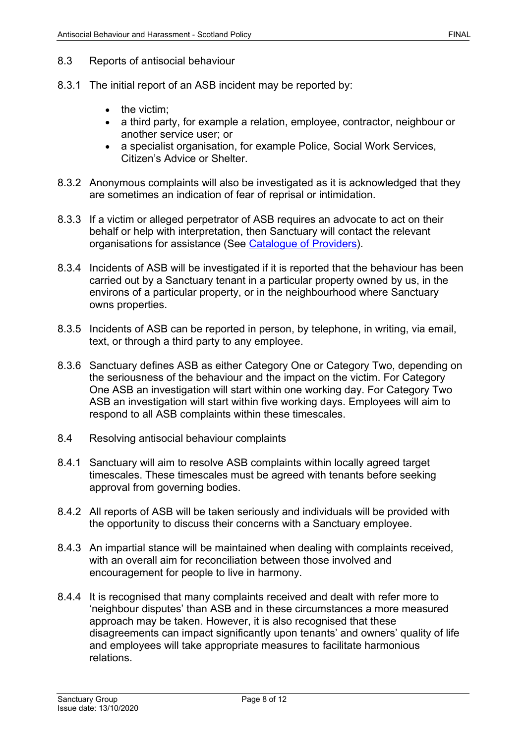- 8.3 Reports of antisocial behaviour
- 8.3.1 The initial report of an ASB incident may be reported by:
	- the victim:
	- a third party, for example a relation, employee, contractor, neighbour or another service user; or
	- a specialist organisation, for example Police, Social Work Services, Citizen's Advice or Shelter.
- 8.3.2 Anonymous complaints will also be investigated as it is acknowledged that they are sometimes an indication of fear of reprisal or intimidation.
- 8.3.3 If a victim or alleged perpetrator of ASB requires an advocate to act on their behalf or help with interpretation, then Sanctuary will contact the relevant organisations for assistance (See Catalogue of Providers).
- 8.3.4 Incidents of ASB will be investigated if it is reported that the behaviour has been carried out by a Sanctuary tenant in a particular property owned by us, in the environs of a particular property, or in the neighbourhood where Sanctuary owns properties.
- 8.3.5 Incidents of ASB can be reported in person, by telephone, in writing, via email, text, or through a third party to any employee.
- 8.3.6 Sanctuary defines ASB as either Category One or Category Two, depending on the seriousness of the behaviour and the impact on the victim. For Category One ASB an investigation will start within one working day. For Category Two ASB an investigation will start within five working days. Employees will aim to respond to all ASB complaints within these timescales.
- 8.4 Resolving antisocial behaviour complaints
- 8.4.1 Sanctuary will aim to resolve ASB complaints within locally agreed target timescales. These timescales must be agreed with tenants before seeking approval from governing bodies.
- 8.4.2 All reports of ASB will be taken seriously and individuals will be provided with the opportunity to discuss their concerns with a Sanctuary employee.
- 8.4.3 An impartial stance will be maintained when dealing with complaints received, with an overall aim for reconciliation between those involved and encouragement for people to live in harmony.
- 8.4.4 It is recognised that many complaints received and dealt with refer more to 'neighbour disputes' than ASB and in these circumstances a more measured approach may be taken. However, it is also recognised that these disagreements can impact significantly upon tenants' and owners' quality of life and employees will take appropriate measures to facilitate harmonious relations.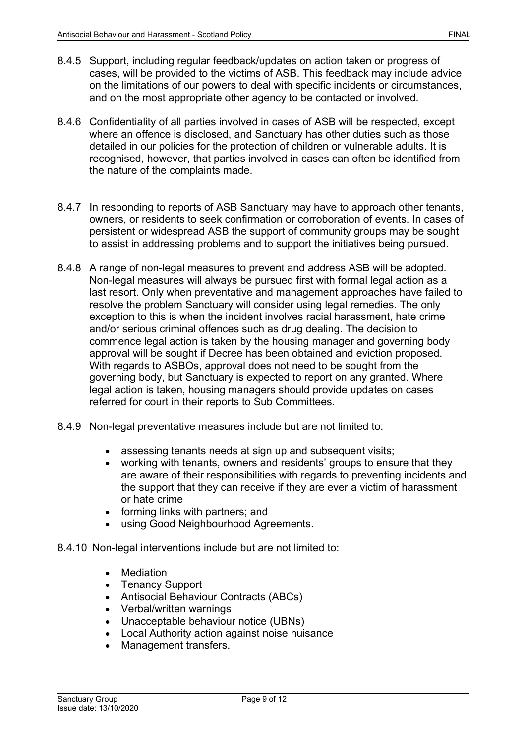- 8.4.5 Support, including regular feedback/updates on action taken or progress of cases, will be provided to the victims of ASB. This feedback may include advice on the limitations of our powers to deal with specific incidents or circumstances, and on the most appropriate other agency to be contacted or involved.
- 8.4.6 Confidentiality of all parties involved in cases of ASB will be respected, except where an offence is disclosed, and Sanctuary has other duties such as those detailed in our policies for the protection of children or vulnerable adults. It is recognised, however, that parties involved in cases can often be identified from the nature of the complaints made.
- 8.4.7 In responding to reports of ASB Sanctuary may have to approach other tenants, owners, or residents to seek confirmation or corroboration of events. In cases of persistent or widespread ASB the support of community groups may be sought to assist in addressing problems and to support the initiatives being pursued.
- 8.4.8 A range of non-legal measures to prevent and address ASB will be adopted. Non-legal measures will always be pursued first with formal legal action as a last resort. Only when preventative and management approaches have failed to resolve the problem Sanctuary will consider using legal remedies. The only exception to this is when the incident involves racial harassment, hate crime and/or serious criminal offences such as drug dealing. The decision to commence legal action is taken by the housing manager and governing body approval will be sought if Decree has been obtained and eviction proposed. With regards to ASBOs, approval does not need to be sought from the governing body, but Sanctuary is expected to report on any granted. Where legal action is taken, housing managers should provide updates on cases referred for court in their reports to Sub Committees.
- 8.4.9 Non-legal preventative measures include but are not limited to:
	- assessing tenants needs at sign up and subsequent visits;
	- working with tenants, owners and residents' groups to ensure that they are aware of their responsibilities with regards to preventing incidents and the support that they can receive if they are ever a victim of harassment or hate crime
	- forming links with partners; and
	- using Good Neighbourhood Agreements.
- 8.4.10 Non-legal interventions include but are not limited to:
	- Mediation
	- Tenancy Support
	- Antisocial Behaviour Contracts (ABCs)
	- Verbal/written warnings
	- Unacceptable behaviour notice (UBNs)
	- Local Authority action against noise nuisance
	- Management transfers.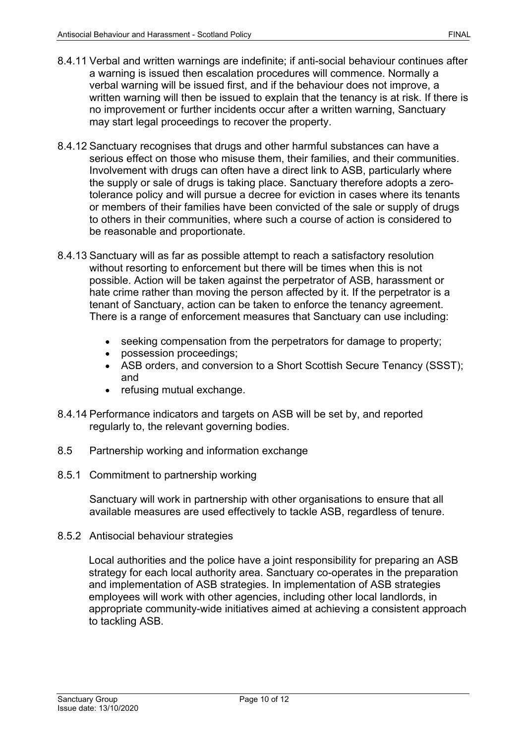- 8.4.11 Verbal and written warnings are indefinite; if anti-social behaviour continues after a warning is issued then escalation procedures will commence. Normally a verbal warning will be issued first, and if the behaviour does not improve, a written warning will then be issued to explain that the tenancy is at risk. If there is no improvement or further incidents occur after a written warning, Sanctuary may start legal proceedings to recover the property.
- 8.4.12 Sanctuary recognises that drugs and other harmful substances can have a serious effect on those who misuse them, their families, and their communities. Involvement with drugs can often have a direct link to ASB, particularly where the supply or sale of drugs is taking place. Sanctuary therefore adopts a zerotolerance policy and will pursue a decree for eviction in cases where its tenants or members of their families have been convicted of the sale or supply of drugs to others in their communities, where such a course of action is considered to be reasonable and proportionate.
- 8.4.13 Sanctuary will as far as possible attempt to reach a satisfactory resolution without resorting to enforcement but there will be times when this is not possible. Action will be taken against the perpetrator of ASB, harassment or hate crime rather than moving the person affected by it. If the perpetrator is a tenant of Sanctuary, action can be taken to enforce the tenancy agreement. There is a range of enforcement measures that Sanctuary can use including:
	- seeking compensation from the perpetrators for damage to property;
	- possession proceedings;
	- ASB orders, and conversion to a Short Scottish Secure Tenancy (SSST); and
	- refusing mutual exchange.
- 8.4.14 Performance indicators and targets on ASB will be set by, and reported regularly to, the relevant governing bodies.
- 8.5 Partnership working and information exchange
- 8.5.1 Commitment to partnership working

Sanctuary will work in partnership with other organisations to ensure that all available measures are used effectively to tackle ASB, regardless of tenure.

8.5.2 Antisocial behaviour strategies

Local authorities and the police have a joint responsibility for preparing an ASB strategy for each local authority area. Sanctuary co-operates in the preparation and implementation of ASB strategies. In implementation of ASB strategies employees will work with other agencies, including other local landlords, in appropriate community-wide initiatives aimed at achieving a consistent approach to tackling ASB.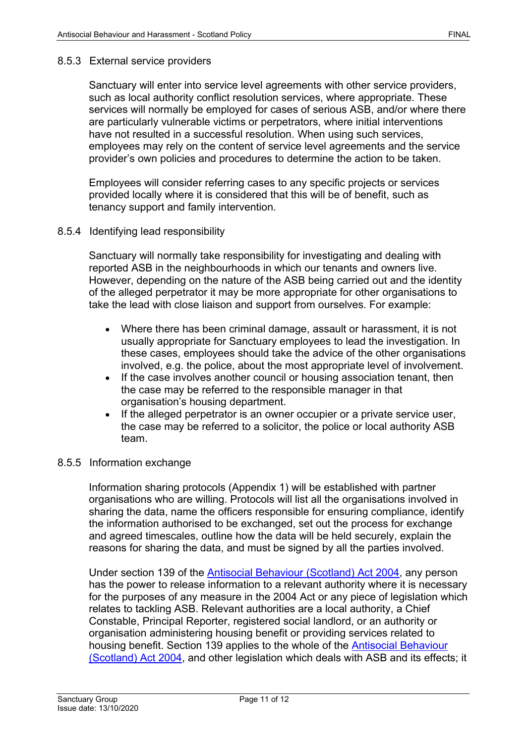# 8.5.3 External service providers

Sanctuary will enter into service level agreements with other service providers, such as local authority conflict resolution services, where appropriate. These services will normally be employed for cases of serious ASB, and/or where there are particularly vulnerable victims or perpetrators, where initial interventions have not resulted in a successful resolution. When using such services, employees may rely on the content of service level agreements and the service provider's own policies and procedures to determine the action to be taken.

Employees will consider referring cases to any specific projects or services provided locally where it is considered that this will be of benefit, such as tenancy support and family intervention.

#### 8.5.4 Identifying lead responsibility

Sanctuary will normally take responsibility for investigating and dealing with reported ASB in the neighbourhoods in which our tenants and owners live. However, depending on the nature of the ASB being carried out and the identity of the alleged perpetrator it may be more appropriate for other organisations to take the lead with close liaison and support from ourselves. For example:

- Where there has been criminal damage, assault or harassment, it is not usually appropriate for Sanctuary employees to lead the investigation. In these cases, employees should take the advice of the other organisations involved, e.g. the police, about the most appropriate level of involvement.
- If the case involves another council or housing association tenant, then the case may be referred to the responsible manager in that organisation's housing department.
- If the alleged perpetrator is an owner occupier or a private service user, the case may be referred to a solicitor, the police or local authority ASB team.

#### 8.5.5 Information exchange

Information sharing protocols (Appendix 1) will be established with partner organisations who are willing. Protocols will list all the organisations involved in sharing the data, name the officers responsible for ensuring compliance, identify the information authorised to be exchanged, set out the process for exchange and agreed timescales, outline how the data will be held securely, explain the reasons for sharing the data, and must be signed by all the parties involved.

Under section 139 of the [Antisocial Behaviour \(Scotland\) Act 2004,](http://www.legislation.gov.uk/asp/2004/8/contents) any person has the power to release information to a relevant authority where it is necessary for the purposes of any measure in the 2004 Act or any piece of legislation which relates to tackling ASB. Relevant authorities are a local authority, a Chief Constable, Principal Reporter, registered social landlord, or an authority or organisation administering housing benefit or providing services related to housing benefit. Section 139 applies to the whole of the [Antisocial Behaviour](http://www.legislation.gov.uk/asp/2004/8/contents)  [\(Scotland\) Act 2004,](http://www.legislation.gov.uk/asp/2004/8/contents) and other legislation which deals with ASB and its effects; it